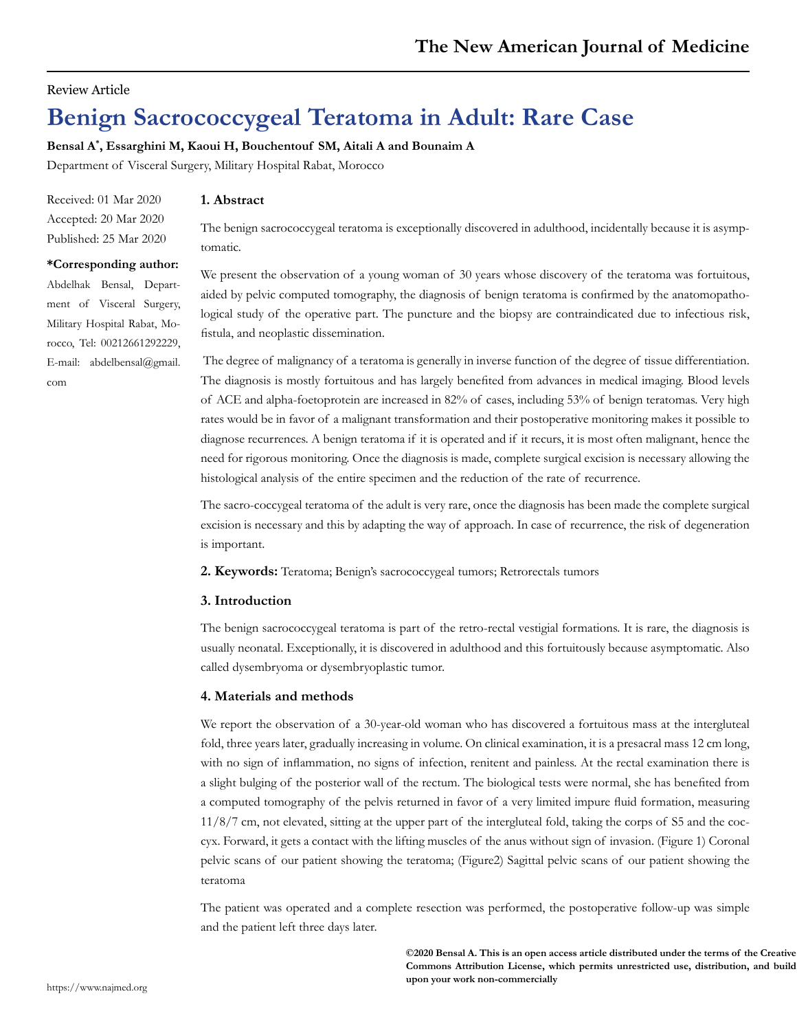## Review Article

# **Benign Sacrococcygeal Teratoma in Adult: Rare Case**

**Bensal A\* , Essarghini M, Kaoui H, Bouchentouf SM, Aitali A and Bounaim A**

Department of Visceral Surgery, Military Hospital Rabat, Morocco

Received: 01 Mar 2020 Accepted: 20 Mar 2020 Published: 25 Mar 2020

## **\*Corresponding author:**

Abdelhak Bensal, Department of Visceral Surgery, Military Hospital Rabat, Morocco, Tel: 00212661292229, E-mail: abdelbensal@gmail. com

### **1. Abstract**

The benign sacrococcygeal teratoma is exceptionally discovered in adulthood, incidentally because it is asymptomatic.

We present the observation of a young woman of 30 years whose discovery of the teratoma was fortuitous, aided by pelvic computed tomography, the diagnosis of benign teratoma is confirmed by the anatomopathological study of the operative part. The puncture and the biopsy are contraindicated due to infectious risk, fistula, and neoplastic dissemination.

 The degree of malignancy of a teratoma is generally in inverse function of the degree of tissue differentiation. The diagnosis is mostly fortuitous and has largely benefited from advances in medical imaging. Blood levels of ACE and alpha-foetoprotein are increased in 82% of cases, including 53% of benign teratomas. Very high rates would be in favor of a malignant transformation and their postoperative monitoring makes it possible to diagnose recurrences. A benign teratoma if it is operated and if it recurs, it is most often malignant, hence the need for rigorous monitoring. Once the diagnosis is made, complete surgical excision is necessary allowing the histological analysis of the entire specimen and the reduction of the rate of recurrence.

The sacro-coccygeal teratoma of the adult is very rare, once the diagnosis has been made the complete surgical excision is necessary and this by adapting the way of approach. In case of recurrence, the risk of degeneration is important.

**2. Keywords:** Teratoma; Benign's sacrococcygeal tumors; Retrorectals tumors

#### **3. Introduction**

The benign sacrococcygeal teratoma is part of the retro-rectal vestigial formations. It is rare, the diagnosis is usually neonatal. Exceptionally, it is discovered in adulthood and this fortuitously because asymptomatic. Also called dysembryoma or dysembryoplastic tumor.

#### **4. Materials and methods**

We report the observation of a 30-year-old woman who has discovered a fortuitous mass at the intergluteal fold, three years later, gradually increasing in volume. On clinical examination, it is a presacral mass 12 cm long, with no sign of inflammation, no signs of infection, renitent and painless. At the rectal examination there is a slight bulging of the posterior wall of the rectum. The biological tests were normal, she has benefited from a computed tomography of the pelvis returned in favor of a very limited impure fluid formation, measuring 11/8/7 cm, not elevated, sitting at the upper part of the intergluteal fold, taking the corps of S5 and the coccyx. Forward, it gets a contact with the lifting muscles of the anus without sign of invasion. (Figure 1) Coronal pelvic scans of our patient showing the teratoma; (Figure2) Sagittal pelvic scans of our patient showing the teratoma

The patient was operated and a complete resection was performed, the postoperative follow-up was simple and the patient left three days later.

> **©2020 Bensal A. This is an open access article distributed under the terms of the Creative Commons Attribution License, which permits unrestricted use, distribution, and build upon your work non-commercially**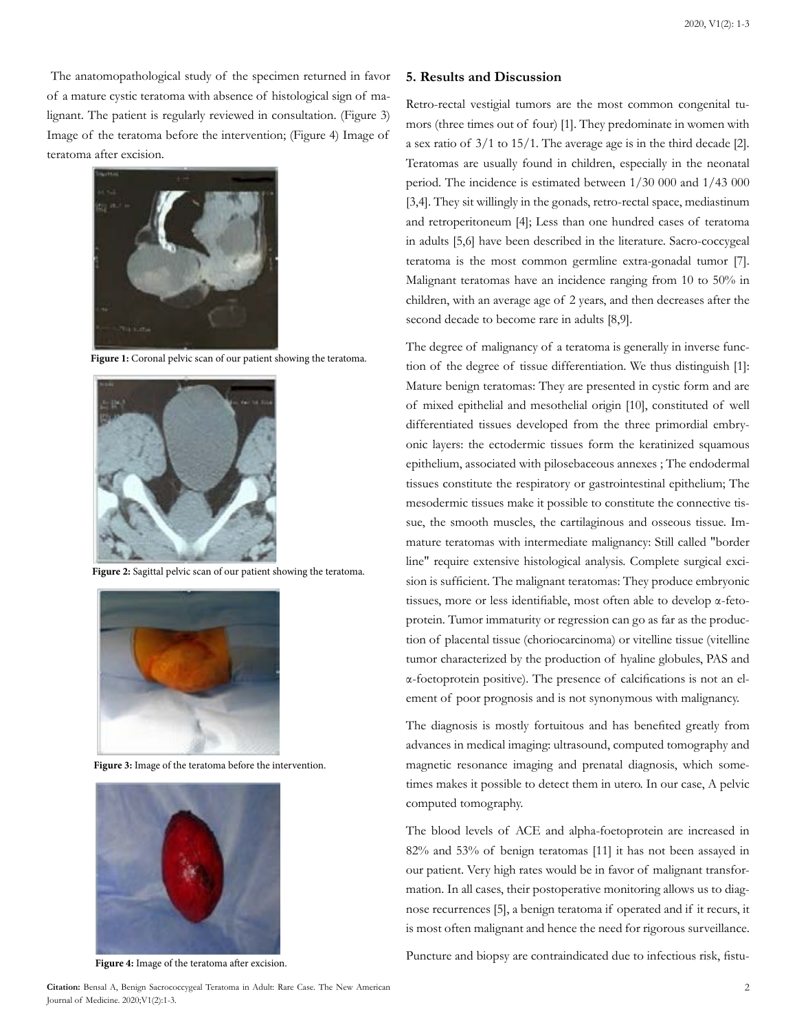The anatomopathological study of the specimen returned in favor of a mature cystic teratoma with absence of histological sign of malignant. The patient is regularly reviewed in consultation. (Figure 3) Image of the teratoma before the intervention; (Figure 4) Image of teratoma after excision.



**Figure 1:** Coronal pelvic scan of our patient showing the teratoma.



**Figure 2:** Sagittal pelvic scan of our patient showing the teratoma.



**Figure 3:** Image of the teratoma before the intervention.



**Figure 4:** Image of the teratoma after excision.

#### **5. Results and Discussion**

Retro-rectal vestigial tumors are the most common congenital tumors (three times out of four) [1]. They predominate in women with a sex ratio of 3/1 to 15/1. The average age is in the third decade [2]. Teratomas are usually found in children, especially in the neonatal period. The incidence is estimated between 1/30 000 and 1/43 000 [3,4]. They sit willingly in the gonads, retro-rectal space, mediastinum and retroperitoneum [4]; Less than one hundred cases of teratoma in adults [5,6] have been described in the literature. Sacro-coccygeal teratoma is the most common germline extra-gonadal tumor [7]. Malignant teratomas have an incidence ranging from 10 to 50% in children, with an average age of 2 years, and then decreases after the second decade to become rare in adults [8,9].

The degree of malignancy of a teratoma is generally in inverse function of the degree of tissue differentiation. We thus distinguish [1]: Mature benign teratomas: They are presented in cystic form and are of mixed epithelial and mesothelial origin [10], constituted of well differentiated tissues developed from the three primordial embryonic layers: the ectodermic tissues form the keratinized squamous epithelium, associated with pilosebaceous annexes ; The endodermal tissues constitute the respiratory or gastrointestinal epithelium; The mesodermic tissues make it possible to constitute the connective tissue, the smooth muscles, the cartilaginous and osseous tissue. Immature teratomas with intermediate malignancy: Still called "border line" require extensive histological analysis. Complete surgical excision is sufficient. The malignant teratomas: They produce embryonic tissues, more or less identifiable, most often able to develop α-fetoprotein. Tumor immaturity or regression can go as far as the production of placental tissue (choriocarcinoma) or vitelline tissue (vitelline tumor characterized by the production of hyaline globules, PAS and α-foetoprotein positive). The presence of calcifications is not an element of poor prognosis and is not synonymous with malignancy.

The diagnosis is mostly fortuitous and has benefited greatly from advances in medical imaging: ultrasound, computed tomography and magnetic resonance imaging and prenatal diagnosis, which sometimes makes it possible to detect them in utero. In our case, A pelvic computed tomography.

The blood levels of ACE and alpha-foetoprotein are increased in 82% and 53% of benign teratomas [11] it has not been assayed in our patient. Very high rates would be in favor of malignant transformation. In all cases, their postoperative monitoring allows us to diagnose recurrences [5], a benign teratoma if operated and if it recurs, it is most often malignant and hence the need for rigorous surveillance.

Puncture and biopsy are contraindicated due to infectious risk, fistu-